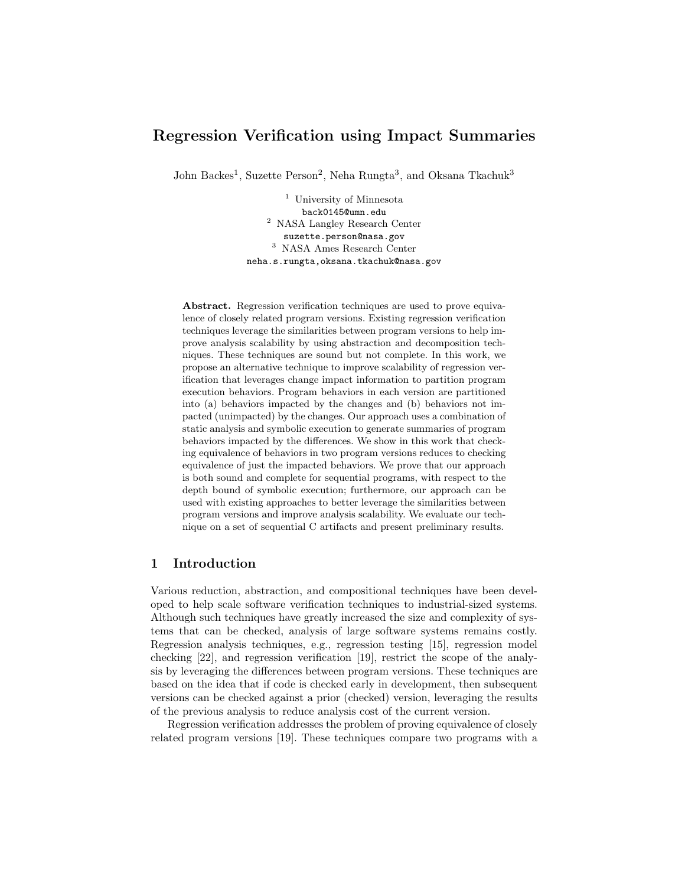# Regression Verification using Impact Summaries

John Backes<sup>1</sup>, Suzette Person<sup>2</sup>, Neha Rungta<sup>3</sup>, and Oksana Tkachuk<sup>3</sup>

<sup>1</sup> University of Minnesota back0145@umn.edu <sup>2</sup> NASA Langley Research Center suzette.person@nasa.gov <sup>3</sup> NASA Ames Research Center neha.s.rungta,oksana.tkachuk@nasa.gov

Abstract. Regression verification techniques are used to prove equivalence of closely related program versions. Existing regression verification techniques leverage the similarities between program versions to help improve analysis scalability by using abstraction and decomposition techniques. These techniques are sound but not complete. In this work, we propose an alternative technique to improve scalability of regression verification that leverages change impact information to partition program execution behaviors. Program behaviors in each version are partitioned into (a) behaviors impacted by the changes and (b) behaviors not impacted (unimpacted) by the changes. Our approach uses a combination of static analysis and symbolic execution to generate summaries of program behaviors impacted by the differences. We show in this work that checking equivalence of behaviors in two program versions reduces to checking equivalence of just the impacted behaviors. We prove that our approach is both sound and complete for sequential programs, with respect to the depth bound of symbolic execution; furthermore, our approach can be used with existing approaches to better leverage the similarities between program versions and improve analysis scalability. We evaluate our technique on a set of sequential C artifacts and present preliminary results.

### 1 Introduction

Various reduction, abstraction, and compositional techniques have been developed to help scale software verification techniques to industrial-sized systems. Although such techniques have greatly increased the size and complexity of systems that can be checked, analysis of large software systems remains costly. Regression analysis techniques, e.g., regression testing [15], regression model checking [22], and regression verification [19], restrict the scope of the analysis by leveraging the differences between program versions. These techniques are based on the idea that if code is checked early in development, then subsequent versions can be checked against a prior (checked) version, leveraging the results of the previous analysis to reduce analysis cost of the current version.

Regression verification addresses the problem of proving equivalence of closely related program versions [19]. These techniques compare two programs with a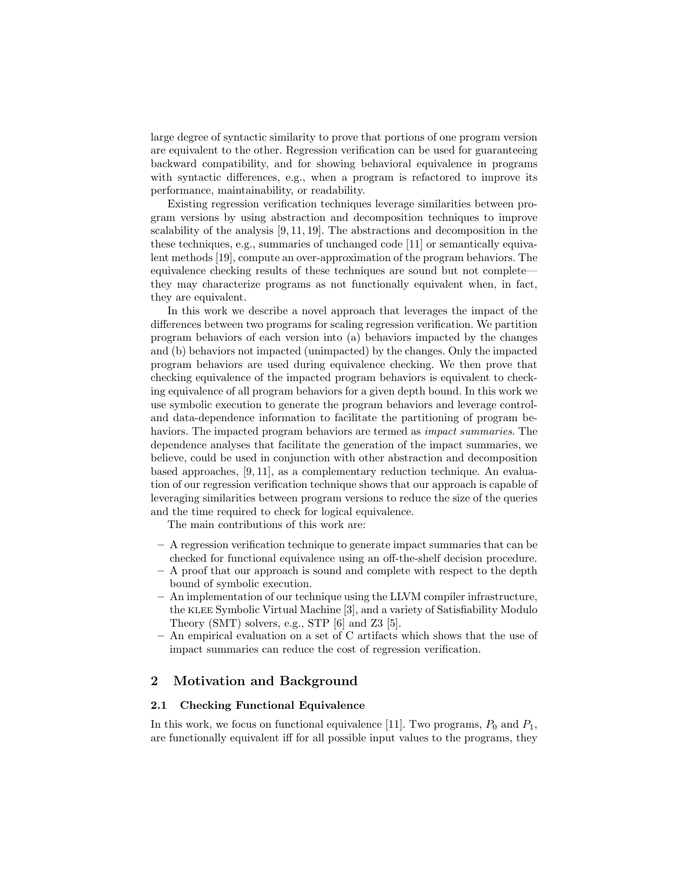large degree of syntactic similarity to prove that portions of one program version are equivalent to the other. Regression verification can be used for guaranteeing backward compatibility, and for showing behavioral equivalence in programs with syntactic differences, e.g., when a program is refactored to improve its performance, maintainability, or readability.

Existing regression verification techniques leverage similarities between program versions by using abstraction and decomposition techniques to improve scalability of the analysis [9, 11, 19]. The abstractions and decomposition in the these techniques, e.g., summaries of unchanged code [11] or semantically equivalent methods [19], compute an over-approximation of the program behaviors. The equivalence checking results of these techniques are sound but not complete they may characterize programs as not functionally equivalent when, in fact, they are equivalent.

In this work we describe a novel approach that leverages the impact of the differences between two programs for scaling regression verification. We partition program behaviors of each version into (a) behaviors impacted by the changes and (b) behaviors not impacted (unimpacted) by the changes. Only the impacted program behaviors are used during equivalence checking. We then prove that checking equivalence of the impacted program behaviors is equivalent to checking equivalence of all program behaviors for a given depth bound. In this work we use symbolic execution to generate the program behaviors and leverage controland data-dependence information to facilitate the partitioning of program behaviors. The impacted program behaviors are termed as impact summaries. The dependence analyses that facilitate the generation of the impact summaries, we believe, could be used in conjunction with other abstraction and decomposition based approaches, [9, 11], as a complementary reduction technique. An evaluation of our regression verification technique shows that our approach is capable of leveraging similarities between program versions to reduce the size of the queries and the time required to check for logical equivalence.

The main contributions of this work are:

- A regression verification technique to generate impact summaries that can be checked for functional equivalence using an off-the-shelf decision procedure.
- A proof that our approach is sound and complete with respect to the depth bound of symbolic execution.
- An implementation of our technique using the LLVM compiler infrastructure, the klee Symbolic Virtual Machine [3], and a variety of Satisfiability Modulo Theory (SMT) solvers, e.g., STP [6] and Z3 [5].
- An empirical evaluation on a set of C artifacts which shows that the use of impact summaries can reduce the cost of regression verification.

### 2 Motivation and Background

#### 2.1 Checking Functional Equivalence

In this work, we focus on functional equivalence [11]. Two programs,  $P_0$  and  $P_1$ , are functionally equivalent iff for all possible input values to the programs, they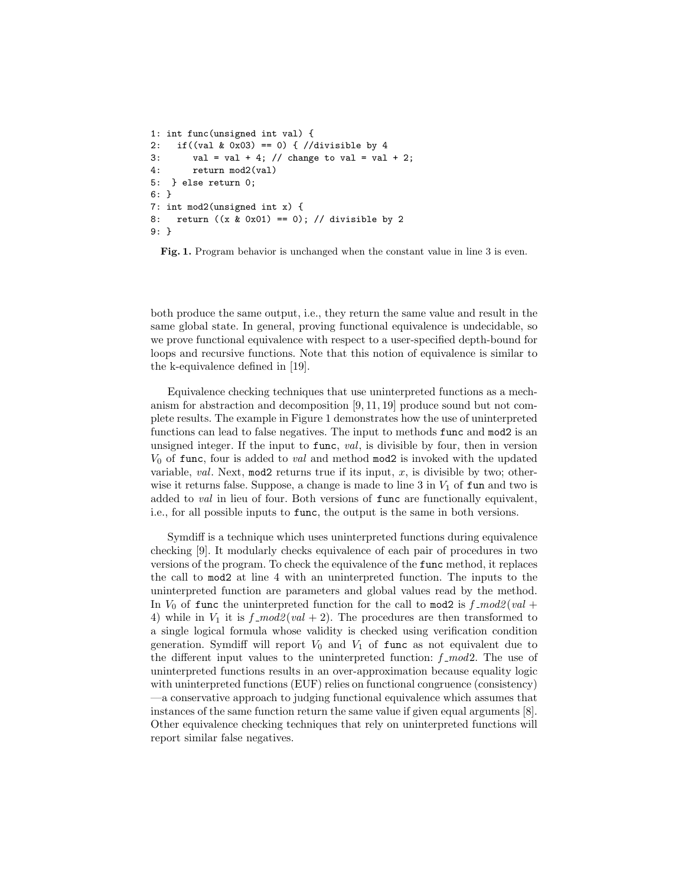```
1: int func(unsigned int val) {
2: if((val & 0x03) == 0) { //divisible by 4
3: val = val + 4; // change to val = val + 2;
4: return mod2(val)
5: } else return 0;
6: }
7: int mod2(unsigned int x) {
8: return ((x \& 0x01) == 0); // divisible by 2
9: }
```
Fig. 1. Program behavior is unchanged when the constant value in line 3 is even.

both produce the same output, i.e., they return the same value and result in the same global state. In general, proving functional equivalence is undecidable, so we prove functional equivalence with respect to a user-specified depth-bound for loops and recursive functions. Note that this notion of equivalence is similar to the k-equivalence defined in [19].

Equivalence checking techniques that use uninterpreted functions as a mechanism for abstraction and decomposition [9, 11, 19] produce sound but not complete results. The example in Figure 1 demonstrates how the use of uninterpreted functions can lead to false negatives. The input to methods func and mod2 is an unsigned integer. If the input to func, *val*, is divisible by four, then in version  $V_0$  of func, four is added to val and method mod2 is invoked with the updated variable, val. Next, mod2 returns true if its input,  $x$ , is divisible by two; otherwise it returns false. Suppose, a change is made to line  $3$  in  $V_1$  of fun and two is added to val in lieu of four. Both versions of func are functionally equivalent, i.e., for all possible inputs to func, the output is the same in both versions.

Symdiff is a technique which uses uninterpreted functions during equivalence checking [9]. It modularly checks equivalence of each pair of procedures in two versions of the program. To check the equivalence of the func method, it replaces the call to mod2 at line 4 with an uninterpreted function. The inputs to the uninterpreted function are parameters and global values read by the method. In  $V_0$  of func the uninterpreted function for the call to mod2 is  $f_{mod2}(val +$ 4) while in  $V_1$  it is  $f_{mod}2(val + 2)$ . The procedures are then transformed to a single logical formula whose validity is checked using verification condition generation. Symdiff will report  $V_0$  and  $V_1$  of func as not equivalent due to the different input values to the uninterpreted function:  $f_{mod}$ ? The use of uninterpreted functions results in an over-approximation because equality logic with uninterpreted functions (EUF) relies on functional congruence (consistency) —a conservative approach to judging functional equivalence which assumes that instances of the same function return the same value if given equal arguments [8]. Other equivalence checking techniques that rely on uninterpreted functions will report similar false negatives.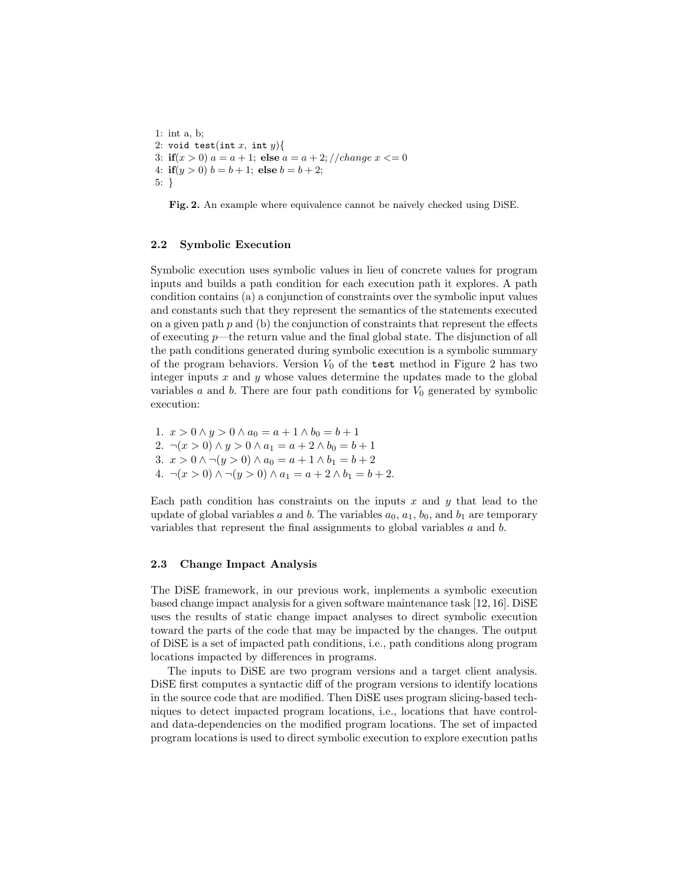1: int a, b; 2: void test(int x, int  $y$ ){ 3: if  $(x > 0)$   $a = a + 1$ ; else  $a = a + 2$ ; //change  $x \le 0$ 4: **if**( $y > 0$ )  $b = b + 1$ ; **else**  $b = b + 2$ ; 5: }

Fig. 2. An example where equivalence cannot be naively checked using DiSE.

#### 2.2 Symbolic Execution

Symbolic execution uses symbolic values in lieu of concrete values for program inputs and builds a path condition for each execution path it explores. A path condition contains (a) a conjunction of constraints over the symbolic input values and constants such that they represent the semantics of the statements executed on a given path  $p$  and (b) the conjunction of constraints that represent the effects of executing p—the return value and the final global state. The disjunction of all the path conditions generated during symbolic execution is a symbolic summary of the program behaviors. Version  $V_0$  of the test method in Figure 2 has two integer inputs  $x$  and  $y$  whose values determine the updates made to the global variables a and b. There are four path conditions for  $V_0$  generated by symbolic execution:

1.  $x > 0 \land y > 0 \land a_0 = a + 1 \land b_0 = b + 1$ 2.  $\neg(x > 0) \land y > 0 \land a_1 = a + 2 \land b_0 = b + 1$ 3.  $x > 0 \land \neg(y > 0) \land a_0 = a + 1 \land b_1 = b + 2$ 

4.  $\neg(x > 0) \land \neg(y > 0) \land a_1 = a + 2 \land b_1 = b + 2.$ 

Each path condition has constraints on the inputs  $x$  and  $y$  that lead to the update of global variables a and b. The variables  $a_0$ ,  $a_1$ ,  $b_0$ , and  $b_1$  are temporary variables that represent the final assignments to global variables a and b.

### 2.3 Change Impact Analysis

The DiSE framework, in our previous work, implements a symbolic execution based change impact analysis for a given software maintenance task [12, 16]. DiSE uses the results of static change impact analyses to direct symbolic execution toward the parts of the code that may be impacted by the changes. The output of DiSE is a set of impacted path conditions, i.e., path conditions along program locations impacted by differences in programs.

The inputs to DiSE are two program versions and a target client analysis. DiSE first computes a syntactic diff of the program versions to identify locations in the source code that are modified. Then DiSE uses program slicing-based techniques to detect impacted program locations, i.e., locations that have controland data-dependencies on the modified program locations. The set of impacted program locations is used to direct symbolic execution to explore execution paths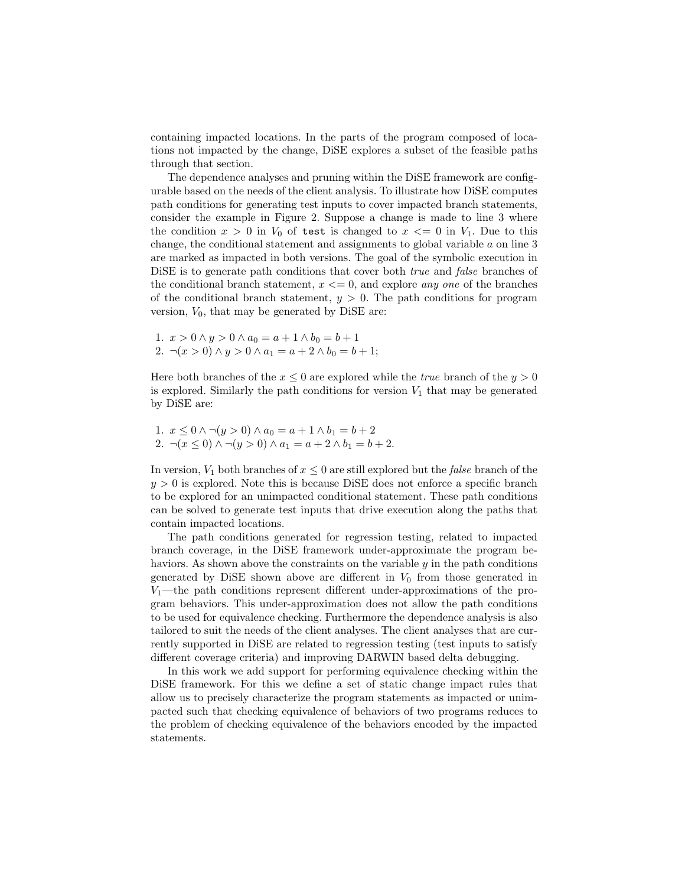containing impacted locations. In the parts of the program composed of locations not impacted by the change, DiSE explores a subset of the feasible paths through that section.

The dependence analyses and pruning within the DiSE framework are configurable based on the needs of the client analysis. To illustrate how DiSE computes path conditions for generating test inputs to cover impacted branch statements, consider the example in Figure 2. Suppose a change is made to line 3 where the condition  $x > 0$  in  $V_0$  of test is changed to  $x \leq 0$  in  $V_1$ . Due to this change, the conditional statement and assignments to global variable a on line 3 are marked as impacted in both versions. The goal of the symbolic execution in DiSE is to generate path conditions that cover both *true* and *false* branches of the conditional branch statement,  $x \leq 0$ , and explore any one of the branches of the conditional branch statement,  $y > 0$ . The path conditions for program version,  $V_0$ , that may be generated by DiSE are:

1.  $x > 0 \land y > 0 \land a_0 = a + 1 \land b_0 = b + 1$ 2.  $\neg(x > 0) \land y > 0 \land a_1 = a + 2 \land b_0 = b + 1;$ 

Here both branches of the  $x \leq 0$  are explored while the *true* branch of the  $y > 0$ is explored. Similarly the path conditions for version  $V_1$  that may be generated by DiSE are:

1.  $x \le 0 \land \neg(y > 0) \land a_0 = a + 1 \land b_1 = b + 2$ 2.  $\neg(x \leq 0) \land \neg(y > 0) \land a_1 = a + 2 \land b_1 = b + 2.$ 

In version,  $V_1$  both branches of  $x \leq 0$  are still explored but the *false* branch of the  $y > 0$  is explored. Note this is because DiSE does not enforce a specific branch to be explored for an unimpacted conditional statement. These path conditions can be solved to generate test inputs that drive execution along the paths that contain impacted locations.

The path conditions generated for regression testing, related to impacted branch coverage, in the DiSE framework under-approximate the program behaviors. As shown above the constraints on the variable  $y$  in the path conditions generated by DiSE shown above are different in  $V_0$  from those generated in  $V_1$ —the path conditions represent different under-approximations of the program behaviors. This under-approximation does not allow the path conditions to be used for equivalence checking. Furthermore the dependence analysis is also tailored to suit the needs of the client analyses. The client analyses that are currently supported in DiSE are related to regression testing (test inputs to satisfy different coverage criteria) and improving DARWIN based delta debugging.

In this work we add support for performing equivalence checking within the DiSE framework. For this we define a set of static change impact rules that allow us to precisely characterize the program statements as impacted or unimpacted such that checking equivalence of behaviors of two programs reduces to the problem of checking equivalence of the behaviors encoded by the impacted statements.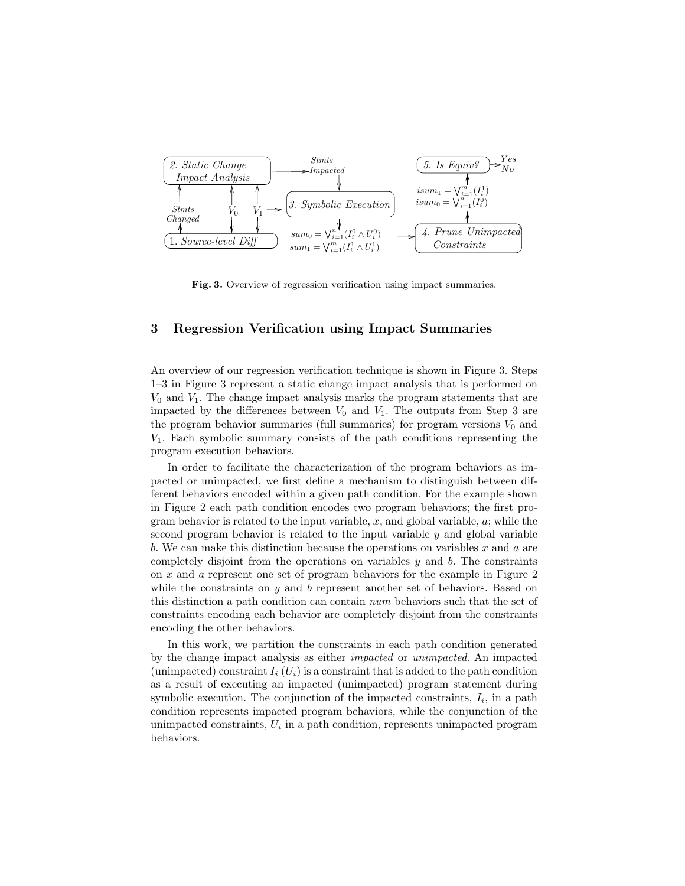

Fig. 3. Overview of regression verification using impact summaries.

### 3 Regression Verification using Impact Summaries

An overview of our regression verification technique is shown in Figure 3. Steps 1–3 in Figure 3 represent a static change impact analysis that is performed on  $V_0$  and  $V_1$ . The change impact analysis marks the program statements that are impacted by the differences between  $V_0$  and  $V_1$ . The outputs from Step 3 are the program behavior summaries (full summaries) for program versions  $V_0$  and  $V_1$ . Each symbolic summary consists of the path conditions representing the program execution behaviors.

In order to facilitate the characterization of the program behaviors as impacted or unimpacted, we first define a mechanism to distinguish between different behaviors encoded within a given path condition. For the example shown in Figure 2 each path condition encodes two program behaviors; the first program behavior is related to the input variable,  $x$ , and global variable,  $a$ ; while the second program behavior is related to the input variable  $y$  and global variable b. We can make this distinction because the operations on variables  $x$  and  $a$  are completely disjoint from the operations on variables  $y$  and  $b$ . The constraints on x and a represent one set of program behaviors for the example in Figure 2 while the constraints on  $y$  and  $b$  represent another set of behaviors. Based on this distinction a path condition can contain num behaviors such that the set of constraints encoding each behavior are completely disjoint from the constraints encoding the other behaviors.

In this work, we partition the constraints in each path condition generated by the change impact analysis as either impacted or unimpacted. An impacted (unimpacted) constraint  $I_i(U_i)$  is a constraint that is added to the path condition as a result of executing an impacted (unimpacted) program statement during symbolic execution. The conjunction of the impacted constraints,  $I_i$ , in a path condition represents impacted program behaviors, while the conjunction of the unimpacted constraints,  $U_i$  in a path condition, represents unimpacted program behaviors.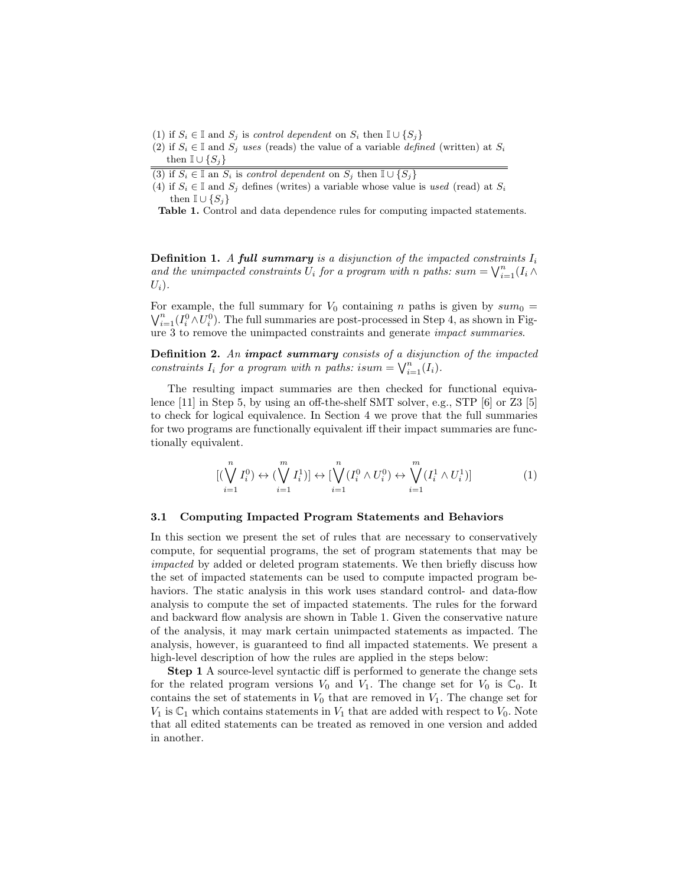- (1) if  $S_i \in \mathbb{I}$  and  $S_j$  is control dependent on  $S_i$  then  $\mathbb{I} \cup \{S_j\}$
- (2) if  $S_i \in \mathbb{I}$  and  $S_j$  uses (reads) the value of a variable *defined* (written) at  $S_i$ then  $\mathbb{I} \cup \{S_j\}$
- (3) if  $S_i \in \mathbb{I}$  an  $S_i$  is control dependent on  $S_j$  then  $\mathbb{I} \cup \{S_j\}$

(4) if  $S_i \in \mathbb{I}$  and  $S_j$  defines (writes) a variable whose value is used (read) at  $S_i$ then  $\mathbb{I} \cup \{S_i\}$ 

Table 1. Control and data dependence rules for computing impacted statements.

**Definition 1.** A full summary is a disjunction of the impacted constraints  $I_i$ and the unimpacted constraints  $\tilde{U}_i$  for a program with n paths: sum =  $\bigvee_{i=1}^n (I_i \wedge$  $U_i$ ).

For example, the full summary for  $V_0$  containing n paths is given by  $sum_0$  =  $\bigvee_{i=1}^{n} (I_i^0 \wedge U_i^0)$ . The full summaries are post-processed in Step 4, as shown in Figure 3 to remove the unimpacted constraints and generate impact summaries.

Definition 2. An impact summary consists of a disjunction of the impacted constraints  $I_i$  for a program with n paths: isum  $= \bigvee_{i=1}^n (I_i)$ .

The resulting impact summaries are then checked for functional equivalence [11] in Step 5, by using an off-the-shelf SMT solver, e.g., STP [6] or Z3 [5] to check for logical equivalence. In Section 4 we prove that the full summaries for two programs are functionally equivalent iff their impact summaries are functionally equivalent.

$$
[(\bigvee_{i=1}^{n} I_i^0) \leftrightarrow (\bigvee_{i=1}^{m} I_i^1)] \leftrightarrow [\bigvee_{i=1}^{n} (I_i^0 \wedge U_i^0) \leftrightarrow \bigvee_{i=1}^{m} (I_i^1 \wedge U_i^1)]
$$
(1)

#### 3.1 Computing Impacted Program Statements and Behaviors

In this section we present the set of rules that are necessary to conservatively compute, for sequential programs, the set of program statements that may be impacted by added or deleted program statements. We then briefly discuss how the set of impacted statements can be used to compute impacted program behaviors. The static analysis in this work uses standard control- and data-flow analysis to compute the set of impacted statements. The rules for the forward and backward flow analysis are shown in Table 1. Given the conservative nature of the analysis, it may mark certain unimpacted statements as impacted. The analysis, however, is guaranteed to find all impacted statements. We present a high-level description of how the rules are applied in the steps below:

Step 1 A source-level syntactic diff is performed to generate the change sets for the related program versions  $V_0$  and  $V_1$ . The change set for  $V_0$  is  $\mathbb{C}_0$ . It contains the set of statements in  $V_0$  that are removed in  $V_1$ . The change set for  $V_1$  is  $\mathbb{C}_1$  which contains statements in  $V_1$  that are added with respect to  $V_0$ . Note that all edited statements can be treated as removed in one version and added in another.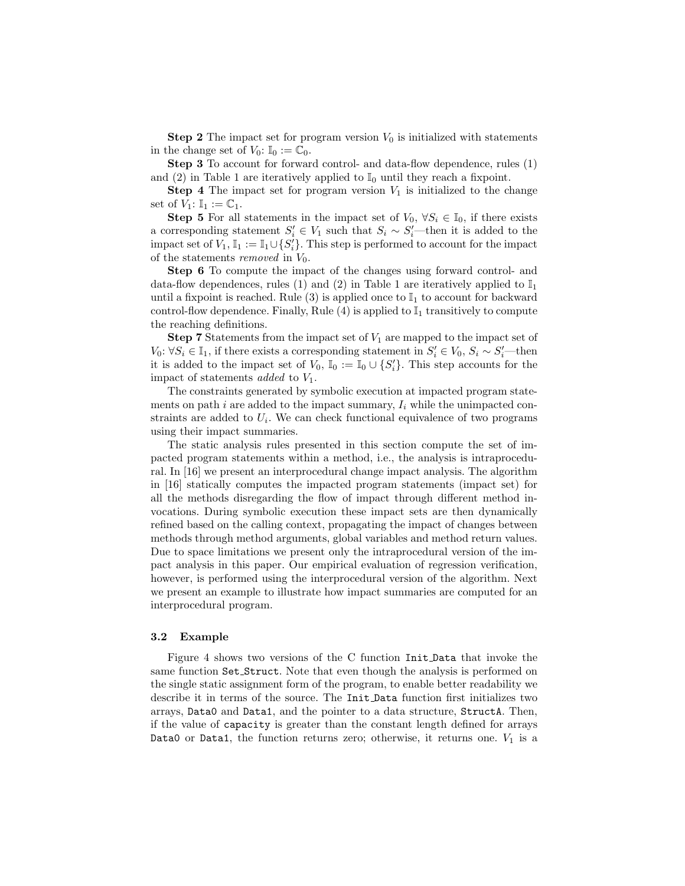**Step 2** The impact set for program version  $V_0$  is initialized with statements in the change set of  $V_0: \mathbb{I}_0 := \mathbb{C}_0$ .

Step 3 To account for forward control- and data-flow dependence, rules (1) and (2) in Table 1 are iteratively applied to  $\mathbb{I}_0$  until they reach a fixpoint.

**Step 4** The impact set for program version  $V_1$  is initialized to the change set of  $V_1: \mathbb{I}_1 := \mathbb{C}_1$ .

**Step 5** For all statements in the impact set of  $V_0$ ,  $\forall S_i \in \mathbb{I}_0$ , if there exists a corresponding statement  $S_i' \in V_1$  such that  $S_i \sim S_i'$ —then it is added to the impact set of  $V_1$ ,  $\mathbb{I}_1 := \mathbb{I}_1 \cup \{S_i\}$ . This step is performed to account for the impact of the statements *removed* in  $V_0$ .

Step 6 To compute the impact of the changes using forward control- and data-flow dependences, rules (1) and (2) in Table 1 are iteratively applied to  $\mathbb{I}_1$ until a fixpoint is reached. Rule (3) is applied once to  $\mathbb{I}_1$  to account for backward control-flow dependence. Finally, Rule  $(4)$  is applied to  $\mathbb{I}_1$  transitively to compute the reaching definitions.

**Step 7** Statements from the impact set of  $V_1$  are mapped to the impact set of  $V_0: \forall S_i \in \mathbb{I}_1$ , if there exists a corresponding statement in  $S_i' \in V_0$ ,  $S_i \sim S_i'$ —then it is added to the impact set of  $V_0$ ,  $\mathbb{I}_0 := \mathbb{I}_0 \cup \{S_i'\}$ . This step accounts for the impact of statements *added* to  $V_1$ .

The constraints generated by symbolic execution at impacted program statements on path  $i$  are added to the impact summary,  $I_i$  while the unimpacted constraints are added to  $U_i$ . We can check functional equivalence of two programs using their impact summaries.

The static analysis rules presented in this section compute the set of impacted program statements within a method, i.e., the analysis is intraprocedural. In [16] we present an interprocedural change impact analysis. The algorithm in [16] statically computes the impacted program statements (impact set) for all the methods disregarding the flow of impact through different method invocations. During symbolic execution these impact sets are then dynamically refined based on the calling context, propagating the impact of changes between methods through method arguments, global variables and method return values. Due to space limitations we present only the intraprocedural version of the impact analysis in this paper. Our empirical evaluation of regression verification, however, is performed using the interprocedural version of the algorithm. Next we present an example to illustrate how impact summaries are computed for an interprocedural program.

#### 3.2 Example

Figure 4 shows two versions of the C function Init Data that invoke the same function Set Struct. Note that even though the analysis is performed on the single static assignment form of the program, to enable better readability we describe it in terms of the source. The Init Data function first initializes two arrays, Data0 and Data1, and the pointer to a data structure, StructA. Then, if the value of capacity is greater than the constant length defined for arrays Data0 or Data1, the function returns zero; otherwise, it returns one.  $V_1$  is a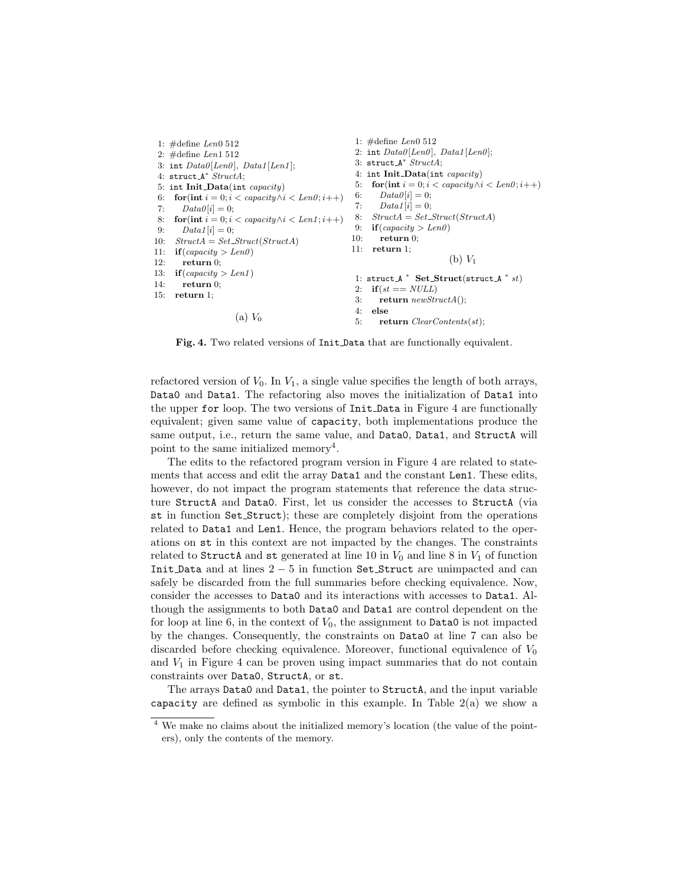```
1: #define Len0 512
2: #define Len1 512
3: int Data0[Len0], Data1[Len1];
 4: struct_A* StructA;
5: int Init Data(int capacity)
6: for(int i = 0; i < capacity \land i < Len0; i++)7: Data0[i] = 0;8: for(int i = 0; i < capacity \land i < Len1; i++)9: Data1[i] = 0;10: StructA = Set\_Struct(StructA)11: if(capacity > Len0)12: return 0;
13: if(capacity > Len1)14: return 0;
15: return 1;
                  (a) V_01: #define Len0 512
                                               2: int Data0[Len0], Data1[Len0];3: struct_A^* Struct_A;4: int Init Data(int capacity)
                                               5: for(int i = 0; i < capacity \land i < Len0; i++)6: Data0[i] = 0;7: Data1[i] = 0;8: StructA = Set\_Struct(StructA)9: if(capacity > Len0)10: return 0;
                                              11: return 1;
                                                                     (b) V_11: struct A^* Set Struct(struct A^* st)
                                               2: \mathbf{if}(st == NULL)3: return newStructA();
                                               4: else
                                               5: return ClearContents(st);
```
Fig. 4. Two related versions of Init Data that are functionally equivalent.

refactored version of  $V_0$ . In  $V_1$ , a single value specifies the length of both arrays, Data0 and Data1. The refactoring also moves the initialization of Data1 into the upper for loop. The two versions of Init Data in Figure 4 are functionally equivalent; given same value of capacity, both implementations produce the same output, i.e., return the same value, and Data0, Data1, and StructA will point to the same initialized memory<sup>4</sup>.

The edits to the refactored program version in Figure 4 are related to statements that access and edit the array Data1 and the constant Len1. These edits, however, do not impact the program statements that reference the data structure StructA and Data0. First, let us consider the accesses to StructA (via st in function Set Struct); these are completely disjoint from the operations related to Data1 and Len1. Hence, the program behaviors related to the operations on st in this context are not impacted by the changes. The constraints related to StructA and st generated at line 10 in  $V_0$  and line 8 in  $V_1$  of function Init Data and at lines 2 − 5 in function Set Struct are unimpacted and can safely be discarded from the full summaries before checking equivalence. Now, consider the accesses to Data0 and its interactions with accesses to Data1. Although the assignments to both Data0 and Data1 are control dependent on the for loop at line 6, in the context of  $V_0$ , the assignment to Data0 is not impacted by the changes. Consequently, the constraints on Data0 at line 7 can also be discarded before checking equivalence. Moreover, functional equivalence of  $V_0$ and  $V_1$  in Figure 4 can be proven using impact summaries that do not contain constraints over Data0, StructA, or st.

The arrays Data0 and Data1, the pointer to StructA, and the input variable capacity are defined as symbolic in this example. In Table 2(a) we show a

<sup>4</sup> We make no claims about the initialized memory's location (the value of the pointers), only the contents of the memory.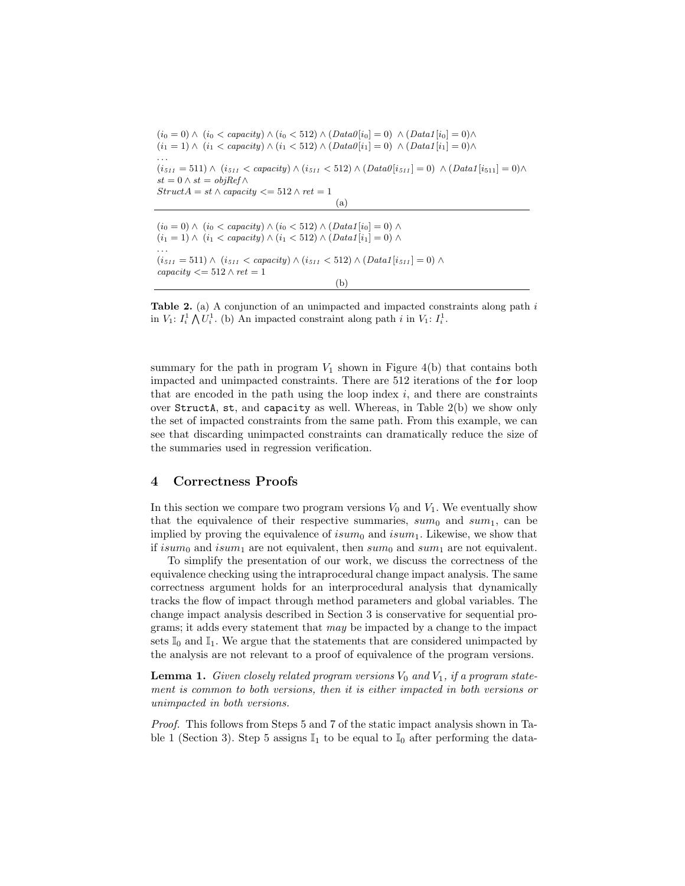$(i_0 = 0) ∧ (i_0 < capacity) ∧ (i_0 < 512) ∧ (Data0[i_0] = 0) ∧ (Data1[i_0] = 0) ∧$  $(i_1 = 1) ∧ (i_1 < capacity) ∧ (i_1 < 512) ∧ (Data0[i_1] = 0) ∧ (Data1[i_1] = 0) ∧$ . . .  $(i_{511} = 511) \wedge (i_{511} < capacity) \wedge (i_{511} < 512) \wedge (Data0[i_{511}] = 0) \wedge (Data1[i_{511}] = 0) \wedge$  $st = 0 \wedge st = objRef \wedge$  $StructA = st \land capacity \leq 512 \land ret = 1$ (a)  $(i_0 = 0) \wedge (i_0 < capacity) \wedge (i_0 < 512) \wedge (Data1[i_0] = 0) \wedge$  $(i_1 = 1) \wedge (i_1 < capacity) \wedge (i_1 < 512) \wedge (Data[i_1] = 0) \wedge$ . . .  $(i_{511} = 511) ∧ (i_{511} < capacity) ∧ (i_{511} < 512) ∧ (Data1[i_{511}] = 0) ∧$ capacity  $\langle = 512 \wedge ret = 1$ 

**Table 2.** (a) A conjunction of an unimpacted and impacted constraints along path  $i$ in  $V_1: I_i^1 \bigwedge U_i^1$ . (b) An impacted constraint along path i in  $V_1: I_i^1$ .

(b)

summary for the path in program  $V_1$  shown in Figure 4(b) that contains both impacted and unimpacted constraints. There are 512 iterations of the for loop that are encoded in the path using the loop index  $i$ , and there are constraints over StructA, st, and capacity as well. Whereas, in Table 2(b) we show only the set of impacted constraints from the same path. From this example, we can see that discarding unimpacted constraints can dramatically reduce the size of the summaries used in regression verification.

#### 4 Correctness Proofs

In this section we compare two program versions  $V_0$  and  $V_1$ . We eventually show that the equivalence of their respective summaries,  $sum_0$  and  $sum_1$ , can be implied by proving the equivalence of  $isum_0$  and  $isum_1$ . Likewise, we show that if isum<sub>0</sub> and isum<sub>1</sub> are not equivalent, then sum<sub>0</sub> and sum<sub>1</sub> are not equivalent.

To simplify the presentation of our work, we discuss the correctness of the equivalence checking using the intraprocedural change impact analysis. The same correctness argument holds for an interprocedural analysis that dynamically tracks the flow of impact through method parameters and global variables. The change impact analysis described in Section 3 is conservative for sequential programs; it adds every statement that may be impacted by a change to the impact sets  $\mathbb{I}_0$  and  $\mathbb{I}_1$ . We argue that the statements that are considered unimpacted by the analysis are not relevant to a proof of equivalence of the program versions.

**Lemma 1.** Given closely related program versions  $V_0$  and  $V_1$ , if a program statement is common to both versions, then it is either impacted in both versions or unimpacted in both versions.

Proof. This follows from Steps 5 and 7 of the static impact analysis shown in Table 1 (Section 3). Step 5 assigns  $\mathbb{I}_1$  to be equal to  $\mathbb{I}_0$  after performing the data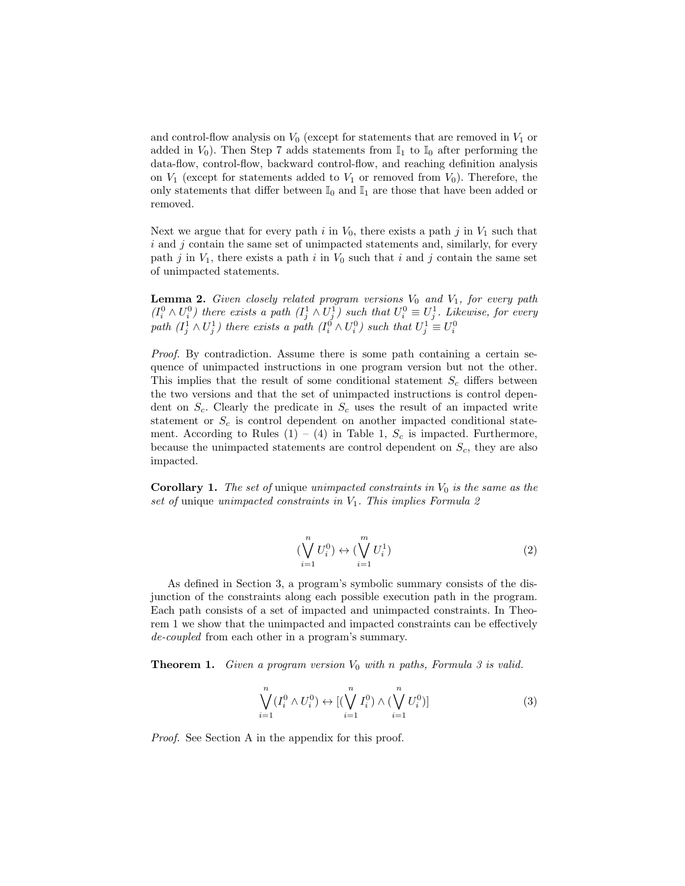and control-flow analysis on  $V_0$  (except for statements that are removed in  $V_1$  or added in  $V_0$ ). Then Step 7 adds statements from  $\mathbb{I}_1$  to  $\mathbb{I}_0$  after performing the data-flow, control-flow, backward control-flow, and reaching definition analysis on  $V_1$  (except for statements added to  $V_1$  or removed from  $V_0$ ). Therefore, the only statements that differ between  $\mathbb{I}_0$  and  $\mathbb{I}_1$  are those that have been added or removed.

Next we argue that for every path i in  $V_0$ , there exists a path j in  $V_1$  such that  $i$  and  $j$  contain the same set of unimpacted statements and, similarly, for every path j in  $V_1$ , there exists a path i in  $V_0$  such that i and j contain the same set of unimpacted statements.

**Lemma 2.** Given closely related program versions  $V_0$  and  $V_1$ , for every path  $(I_i^0 \wedge U_i^0)$  there exists a path  $(I_j^1 \wedge U_j^1)$  such that  $U_i^0 \equiv U_j^1$ . Likewise, for every path  $(I_j^1 \wedge U_j^1)$  there exists a path  $(I_i^0 \wedge U_i^0)$  such that  $U_j^1 \equiv U_i^0$ 

Proof. By contradiction. Assume there is some path containing a certain sequence of unimpacted instructions in one program version but not the other. This implies that the result of some conditional statement  $S_c$  differs between the two versions and that the set of unimpacted instructions is control dependent on  $S_c$ . Clearly the predicate in  $S_c$  uses the result of an impacted write statement or  $S_c$  is control dependent on another impacted conditional statement. According to Rules  $(1) - (4)$  in Table 1,  $S_c$  is impacted. Furthermore, because the unimpacted statements are control dependent on  $S_c$ , they are also impacted.

**Corollary 1.** The set of unique unimpacted constraints in  $V_0$  is the same as the set of unique unimpacted constraints in  $V_1$ . This implies Formula 2

$$
(\bigvee_{i=1}^{n} U_i^0) \leftrightarrow (\bigvee_{i=1}^{m} U_i^1)
$$
 (2)

As defined in Section 3, a program's symbolic summary consists of the disjunction of the constraints along each possible execution path in the program. Each path consists of a set of impacted and unimpacted constraints. In Theorem 1 we show that the unimpacted and impacted constraints can be effectively de-coupled from each other in a program's summary.

**Theorem 1.** Given a program version  $V_0$  with n paths, Formula 3 is valid.

$$
\bigvee_{i=1}^{n} (I_i^0 \wedge U_i^0) \leftrightarrow [(\bigvee_{i=1}^{n} I_i^0) \wedge (\bigvee_{i=1}^{n} U_i^0)] \tag{3}
$$

Proof. See Section A in the appendix for this proof.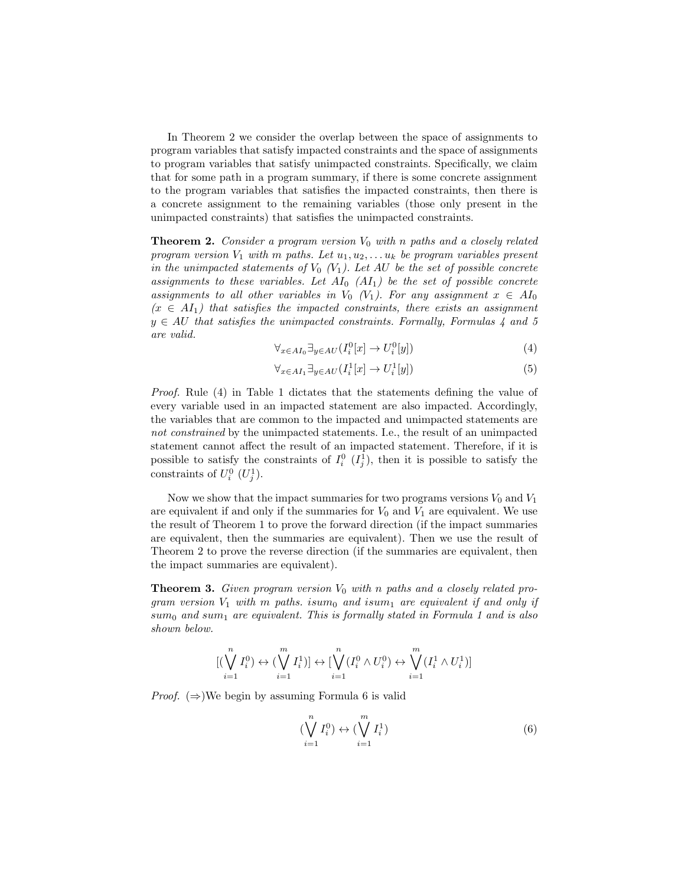In Theorem 2 we consider the overlap between the space of assignments to program variables that satisfy impacted constraints and the space of assignments to program variables that satisfy unimpacted constraints. Specifically, we claim that for some path in a program summary, if there is some concrete assignment to the program variables that satisfies the impacted constraints, then there is a concrete assignment to the remaining variables (those only present in the unimpacted constraints) that satisfies the unimpacted constraints.

**Theorem 2.** Consider a program version  $V_0$  with n paths and a closely related program version  $V_1$  with m paths. Let  $u_1, u_2, \ldots u_k$  be program variables present in the unimpacted statements of  $V_0$  ( $V_1$ ). Let AU be the set of possible concrete assignments to these variables. Let  $AI_0$   $(AI_1)$  be the set of possible concrete assignments to all other variables in  $V_0$  ( $V_1$ ). For any assignment  $x \in AI_0$  $(x \in AI_1)$  that satisfies the impacted constraints, there exists an assignment  $y \in AU$  that satisfies the unimpacted constraints. Formally, Formulas 4 and 5 are valid.

$$
\forall_{x \in AI_0} \exists_{y \in AU} (I_i^0[x] \to U_i^0[y]) \tag{4}
$$

$$
\forall_{x \in AI_1} \exists_{y \in AU} (I_i^1[x] \to U_i^1[y]) \tag{5}
$$

Proof. Rule (4) in Table 1 dictates that the statements defining the value of every variable used in an impacted statement are also impacted. Accordingly, the variables that are common to the impacted and unimpacted statements are not constrained by the unimpacted statements. I.e., the result of an unimpacted statement cannot affect the result of an impacted statement. Therefore, if it is possible to satisfy the constraints of  $I_i^0$   $(I_j^1)$ , then it is possible to satisfy the constraints of  $U_i^0$   $(U_j^1)$ .

Now we show that the impact summaries for two programs versions  $V_0$  and  $V_1$ are equivalent if and only if the summaries for  $V_0$  and  $V_1$  are equivalent. We use the result of Theorem 1 to prove the forward direction (if the impact summaries are equivalent, then the summaries are equivalent). Then we use the result of Theorem 2 to prove the reverse direction (if the summaries are equivalent, then the impact summaries are equivalent).

**Theorem 3.** Given program version  $V_0$  with n paths and a closely related program version  $V_1$  with m paths. isum<sub>0</sub> and isum<sub>1</sub> are equivalent if and only if  $sum_0$  and sum<sub>1</sub> are equivalent. This is formally stated in Formula 1 and is also shown below.

$$
[(\bigvee_{i=1}^{n} I_i^0) \leftrightarrow (\bigvee_{i=1}^{m} I_i^1)] \leftrightarrow [\bigvee_{i=1}^{n} (I_i^0 \wedge U_i^0) \leftrightarrow \bigvee_{i=1}^{m} (I_i^1 \wedge U_i^1)]
$$

*Proof.*  $(\Rightarrow)$ We begin by assuming Formula 6 is valid

$$
\left(\bigvee_{i=1}^{n} I_i^0\right) \leftrightarrow \left(\bigvee_{i=1}^{m} I_i^1\right) \tag{6}
$$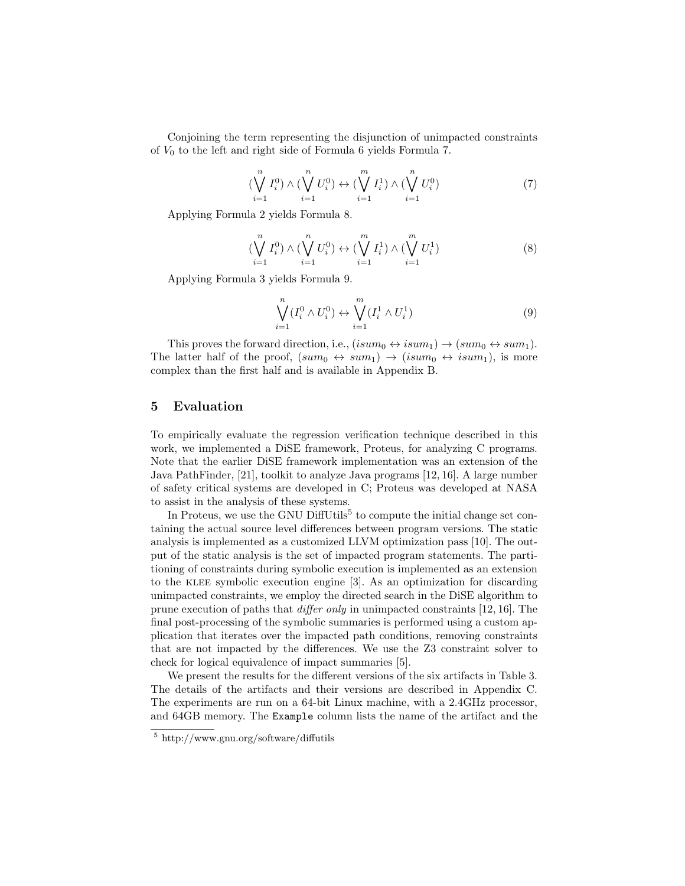Conjoining the term representing the disjunction of unimpacted constraints of  $V_0$  to the left and right side of Formula 6 yields Formula 7.

$$
\left(\bigvee_{i=1}^{n} I_i^0\right) \wedge \left(\bigvee_{i=1}^{n} U_i^0\right) \leftrightarrow \left(\bigvee_{i=1}^{m} I_i^1\right) \wedge \left(\bigvee_{i=1}^{n} U_i^0\right) \tag{7}
$$

Applying Formula 2 yields Formula 8.

$$
(\bigvee_{i=1}^{n} I_i^0) \wedge (\bigvee_{i=1}^{n} U_i^0) \leftrightarrow (\bigvee_{i=1}^{m} I_i^1) \wedge (\bigvee_{i=1}^{m} U_i^1)
$$
\n
$$
(8)
$$

Applying Formula 3 yields Formula 9.

$$
\bigvee_{i=1}^{n} (I_i^0 \wedge U_i^0) \leftrightarrow \bigvee_{i=1}^{m} (I_i^1 \wedge U_i^1)
$$
\n(9)

This proves the forward direction, i.e.,  $(isum_0 \leftrightarrow isum_1) \rightarrow (sum_0 \leftrightarrow sum_1)$ . The latter half of the proof,  $(sum_0 \leftrightarrow sum_1) \rightarrow (isum_0 \leftrightarrow isum_1)$ , is more complex than the first half and is available in Appendix B.

### 5 Evaluation

To empirically evaluate the regression verification technique described in this work, we implemented a DiSE framework, Proteus, for analyzing C programs. Note that the earlier DiSE framework implementation was an extension of the Java PathFinder, [21], toolkit to analyze Java programs [12, 16]. A large number of safety critical systems are developed in C; Proteus was developed at NASA to assist in the analysis of these systems.

In Proteus, we use the GNU DiffUtils<sup>5</sup> to compute the initial change set containing the actual source level differences between program versions. The static analysis is implemented as a customized LLVM optimization pass [10]. The output of the static analysis is the set of impacted program statements. The partitioning of constraints during symbolic execution is implemented as an extension to the klee symbolic execution engine [3]. As an optimization for discarding unimpacted constraints, we employ the directed search in the DiSE algorithm to prune execution of paths that differ only in unimpacted constraints [12, 16]. The final post-processing of the symbolic summaries is performed using a custom application that iterates over the impacted path conditions, removing constraints that are not impacted by the differences. We use the Z3 constraint solver to check for logical equivalence of impact summaries [5].

We present the results for the different versions of the six artifacts in Table 3. The details of the artifacts and their versions are described in Appendix C. The experiments are run on a 64-bit Linux machine, with a 2.4GHz processor, and 64GB memory. The Example column lists the name of the artifact and the

<sup>5</sup> http://www.gnu.org/software/diffutils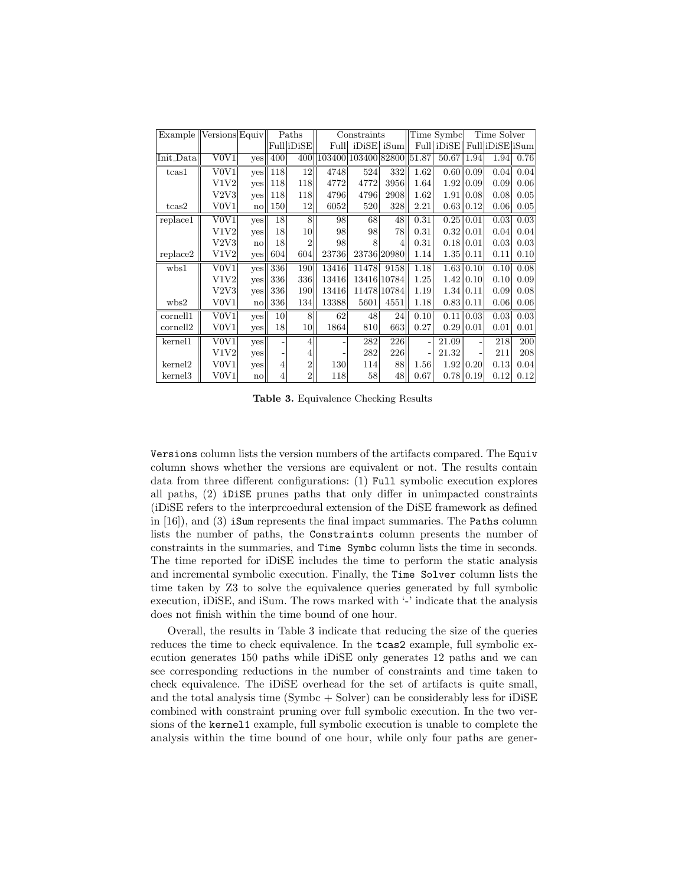| Example             | Versions Equiv                |               | Paths           |                 | Constraints |              |                  |       | Time Symbc                 |            | Time Solver |      |
|---------------------|-------------------------------|---------------|-----------------|-----------------|-------------|--------------|------------------|-------|----------------------------|------------|-------------|------|
|                     |                               |               |                 | Full DiSE       | Full        |              | $i$ DiSE $i$ Sum |       | Full iDiSE Full iDiSE iSum |            |             |      |
| Init_Data           | V <sub>0</sub> V <sub>1</sub> | yes           | 400             | 400             | 103400      | 103400 82800 |                  | 51.87 | 50.67                      | 1.94       | 1.94        | 0.76 |
| tcas1               | V <sub>0</sub> V <sub>1</sub> | yes           | 118             | 12              | 4748        | 524          | 332              | 1.62  |                            | 0.60  0.09 | 0.04        | 0.04 |
|                     | V1V2                          | yes           | 118             | 118             | 4772        | 4772         | 3956             | 1.64  |                            | 1.92  0.09 | 0.09        | 0.06 |
|                     | V2V3                          | <b>ves</b>    | 118             | 118             | 4796        | 4796         | 2908             | 1.62  |                            | 1.91  0.08 | 0.08        | 0.05 |
| tcas2               | V <sub>0</sub> V <sub>1</sub> | $\mathbf{no}$ | 150             | 12              | 6052        | 520          | 328              | 2.21  |                            | 0.63  0.12 | 0.06        | 0.05 |
| replace1            | V <sub>0</sub> V <sub>1</sub> | yes           | 18              | 8               | 98          | 68           | 48               | 0.31  |                            | 0.25  0.01 | 0.03        | 0.03 |
|                     | V1V2                          | yes           | 18              | 10 <sup>1</sup> | 98          | 98           | 78               | 0.31  | 0.32  0.01                 |            | 0.04        | 0.04 |
|                     | V2V3                          | no            | 18              | $\overline{2}$  | 98          | 8            | 4                | 0.31  | 0.18  0.01                 |            | 0.03        | 0.03 |
| replace2            | V1V2                          | yes           | 604             | 604             | 23736       |              | 23736 20980      | 1.14  |                            | 1.35  0.11 | 0.11        | 0.10 |
| wbs1                | V <sub>0</sub> V <sub>1</sub> | yes           | 336             | 190             | 13416       | 11478        | 9158             | 1.18  |                            | 1.63  0.10 | 0.10        | 0.08 |
|                     | V1V2                          | yes           | 336             | 336             | 13416       | 13416        | 10784            | 1.25  |                            | 1.42  0.10 | 0.10        | 0.09 |
|                     | V2V3                          | yes           | 336             | 190             | 13416       |              | 11478 10784      | 1.19  |                            | 1.34  0.11 | 0.09        | 0.08 |
| wbs2                | V <sub>0</sub> V <sub>1</sub> | $\mathbf{no}$ | 336             | 134             | $13388\,$   | 5601         | 4551             | 1.18  |                            | 0.83  0.11 | 0.06        | 0.06 |
| cornell1            | V <sub>0</sub> V <sub>1</sub> | yes           | 10 <sup>1</sup> | 8               | 62          | 48           | 24               | 0.10  |                            | 0.11  0.03 | 0.03        | 0.03 |
| cornell2            | V <sub>0</sub> V <sub>1</sub> | yes           | 18              | 10 <sup>1</sup> | 1864        | 810          | 663              | 0.27  | 0.29  0.01                 |            | 0.01        | 0.01 |
| kernel1             | V <sub>0</sub> V <sub>1</sub> | yes           |                 | $\overline{4}$  |             | 282          | 226              |       | 21.09                      |            | 218         | 200  |
|                     | V1V2                          | yes           |                 | 4               |             | 282          | 226              |       | 21.32                      |            | 211         | 208  |
| kernel <sub>2</sub> | V <sub>0</sub> V <sub>1</sub> | yes           | 4               | $\overline{2}$  | 130         | 114          | 88               | 1.56  |                            | 1.92  0.20 | 0.13        | 0.04 |
| kernel3             | $_{\rm V0V1}$                 | $\mathbf{no}$ | 4               | $\overline{2}$  | 118         | 58           | 48               | 0.67  |                            | 0.78  0.19 | 0.12        | 0.12 |

Table 3. Equivalence Checking Results

Versions column lists the version numbers of the artifacts compared. The Equiv column shows whether the versions are equivalent or not. The results contain data from three different configurations: (1) Full symbolic execution explores all paths, (2) iDiSE prunes paths that only differ in unimpacted constraints (iDiSE refers to the interprcoedural extension of the DiSE framework as defined in [16]), and (3) iSum represents the final impact summaries. The Paths column lists the number of paths, the Constraints column presents the number of constraints in the summaries, and Time Symbc column lists the time in seconds. The time reported for iDiSE includes the time to perform the static analysis and incremental symbolic execution. Finally, the Time Solver column lists the time taken by Z3 to solve the equivalence queries generated by full symbolic execution, iDiSE, and iSum. The rows marked with  $\cdot$  indicate that the analysis does not finish within the time bound of one hour.

Overall, the results in Table 3 indicate that reducing the size of the queries reduces the time to check equivalence. In the tcas2 example, full symbolic execution generates 150 paths while iDiSE only generates 12 paths and we can see corresponding reductions in the number of constraints and time taken to check equivalence. The iDiSE overhead for the set of artifacts is quite small, and the total analysis time  $(Symbc + Solver)$  can be considerably less for iDiSE combined with constraint pruning over full symbolic execution. In the two versions of the kernel1 example, full symbolic execution is unable to complete the analysis within the time bound of one hour, while only four paths are gener-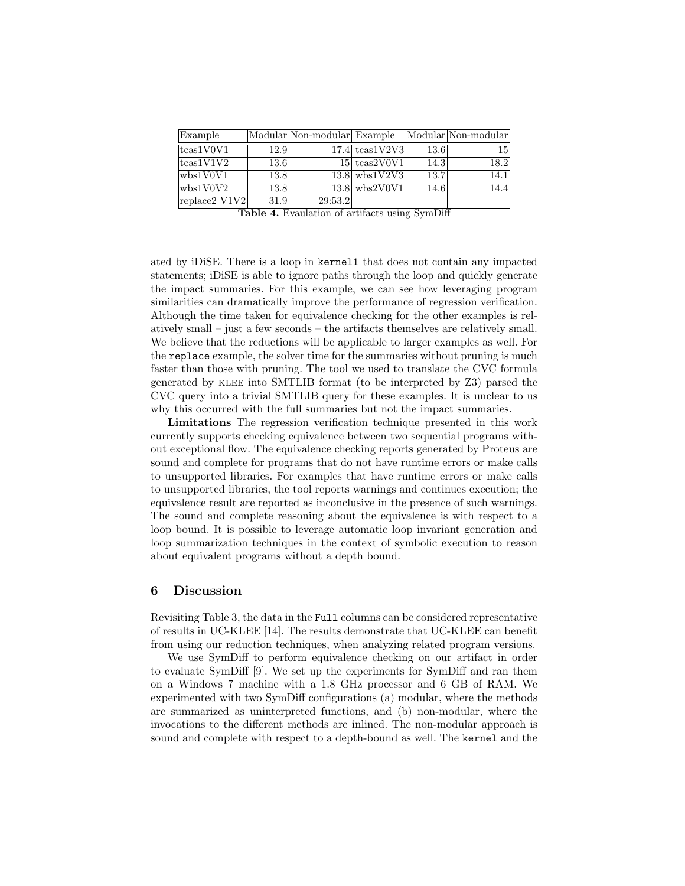| Example             |      | Modular Non-modular Example |                                          |      | Modular Non-modular |
|---------------------|------|-----------------------------|------------------------------------------|------|---------------------|
| $ t\cos 1$ V0V1     | 12.9 |                             | $17.4$   tcas1V2V3                       | 13.6 | 15                  |
| $ {\rm tcas1V1V2} $ | 13.6 |                             | $15$   tcas2V0V1                         | 14.3 | 18.2                |
| $\vert$ wbs1V0V1    | 13.8 |                             | $13.8$ wbs1V2V3                          | 13.7 | 14.1                |
| $\vert$ wbs1V0V2    | 13.8 |                             | $13.8 \vert \vert \text{wbs2V0V1} \vert$ | 14.6 | 14.4                |
| replace2 V1V2       | 31.9 | 29:53.2                     |                                          |      |                     |

Table 4. Evaulation of artifacts using SymDiff

ated by iDiSE. There is a loop in kernel1 that does not contain any impacted statements; iDiSE is able to ignore paths through the loop and quickly generate the impact summaries. For this example, we can see how leveraging program similarities can dramatically improve the performance of regression verification. Although the time taken for equivalence checking for the other examples is relatively small – just a few seconds – the artifacts themselves are relatively small. We believe that the reductions will be applicable to larger examples as well. For the replace example, the solver time for the summaries without pruning is much faster than those with pruning. The tool we used to translate the CVC formula generated by klee into SMTLIB format (to be interpreted by Z3) parsed the CVC query into a trivial SMTLIB query for these examples. It is unclear to us why this occurred with the full summaries but not the impact summaries.

Limitations The regression verification technique presented in this work currently supports checking equivalence between two sequential programs without exceptional flow. The equivalence checking reports generated by Proteus are sound and complete for programs that do not have runtime errors or make calls to unsupported libraries. For examples that have runtime errors or make calls to unsupported libraries, the tool reports warnings and continues execution; the equivalence result are reported as inconclusive in the presence of such warnings. The sound and complete reasoning about the equivalence is with respect to a loop bound. It is possible to leverage automatic loop invariant generation and loop summarization techniques in the context of symbolic execution to reason about equivalent programs without a depth bound.

### 6 Discussion

Revisiting Table 3, the data in the Full columns can be considered representative of results in UC-KLEE [14]. The results demonstrate that UC-KLEE can benefit from using our reduction techniques, when analyzing related program versions.

We use SymDiff to perform equivalence checking on our artifact in order to evaluate SymDiff [9]. We set up the experiments for SymDiff and ran them on a Windows 7 machine with a 1.8 GHz processor and 6 GB of RAM. We experimented with two SymDiff configurations (a) modular, where the methods are summarized as uninterpreted functions, and (b) non-modular, where the invocations to the different methods are inlined. The non-modular approach is sound and complete with respect to a depth-bound as well. The kernel and the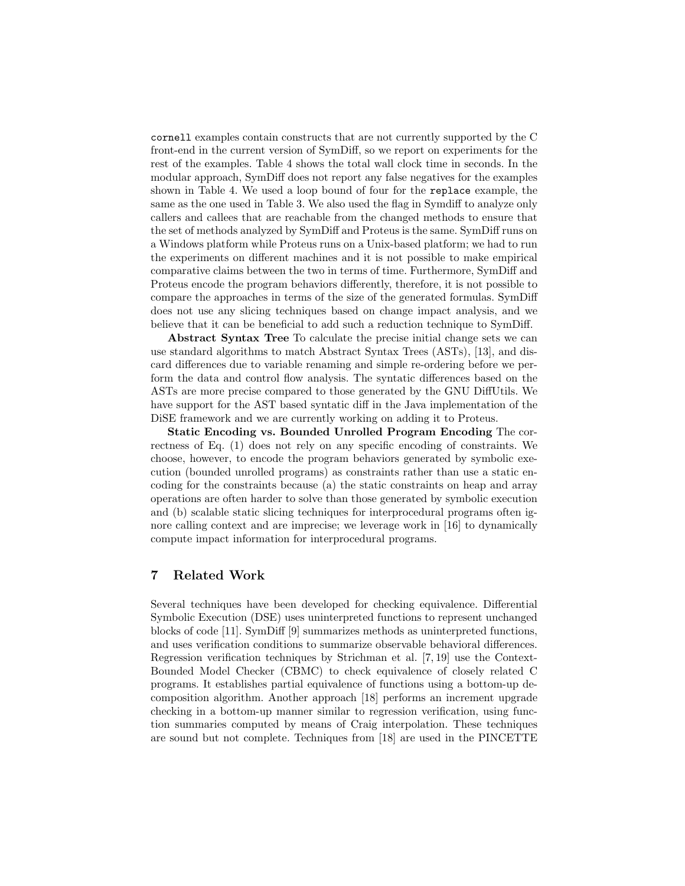cornell examples contain constructs that are not currently supported by the C front-end in the current version of SymDiff, so we report on experiments for the rest of the examples. Table 4 shows the total wall clock time in seconds. In the modular approach, SymDiff does not report any false negatives for the examples shown in Table 4. We used a loop bound of four for the replace example, the same as the one used in Table 3. We also used the flag in Symdiff to analyze only callers and callees that are reachable from the changed methods to ensure that the set of methods analyzed by SymDiff and Proteus is the same. SymDiff runs on a Windows platform while Proteus runs on a Unix-based platform; we had to run the experiments on different machines and it is not possible to make empirical comparative claims between the two in terms of time. Furthermore, SymDiff and Proteus encode the program behaviors differently, therefore, it is not possible to compare the approaches in terms of the size of the generated formulas. SymDiff does not use any slicing techniques based on change impact analysis, and we believe that it can be beneficial to add such a reduction technique to SymDiff.

Abstract Syntax Tree To calculate the precise initial change sets we can use standard algorithms to match Abstract Syntax Trees (ASTs), [13], and discard differences due to variable renaming and simple re-ordering before we perform the data and control flow analysis. The syntatic differences based on the ASTs are more precise compared to those generated by the GNU DiffUtils. We have support for the AST based syntatic diff in the Java implementation of the DiSE framework and we are currently working on adding it to Proteus.

Static Encoding vs. Bounded Unrolled Program Encoding The correctness of Eq. (1) does not rely on any specific encoding of constraints. We choose, however, to encode the program behaviors generated by symbolic execution (bounded unrolled programs) as constraints rather than use a static encoding for the constraints because (a) the static constraints on heap and array operations are often harder to solve than those generated by symbolic execution and (b) scalable static slicing techniques for interprocedural programs often ignore calling context and are imprecise; we leverage work in [16] to dynamically compute impact information for interprocedural programs.

### 7 Related Work

Several techniques have been developed for checking equivalence. Differential Symbolic Execution (DSE) uses uninterpreted functions to represent unchanged blocks of code [11]. SymDiff [9] summarizes methods as uninterpreted functions, and uses verification conditions to summarize observable behavioral differences. Regression verification techniques by Strichman et al. [7, 19] use the Context-Bounded Model Checker (CBMC) to check equivalence of closely related C programs. It establishes partial equivalence of functions using a bottom-up decomposition algorithm. Another approach [18] performs an increment upgrade checking in a bottom-up manner similar to regression verification, using function summaries computed by means of Craig interpolation. These techniques are sound but not complete. Techniques from [18] are used in the PINCETTE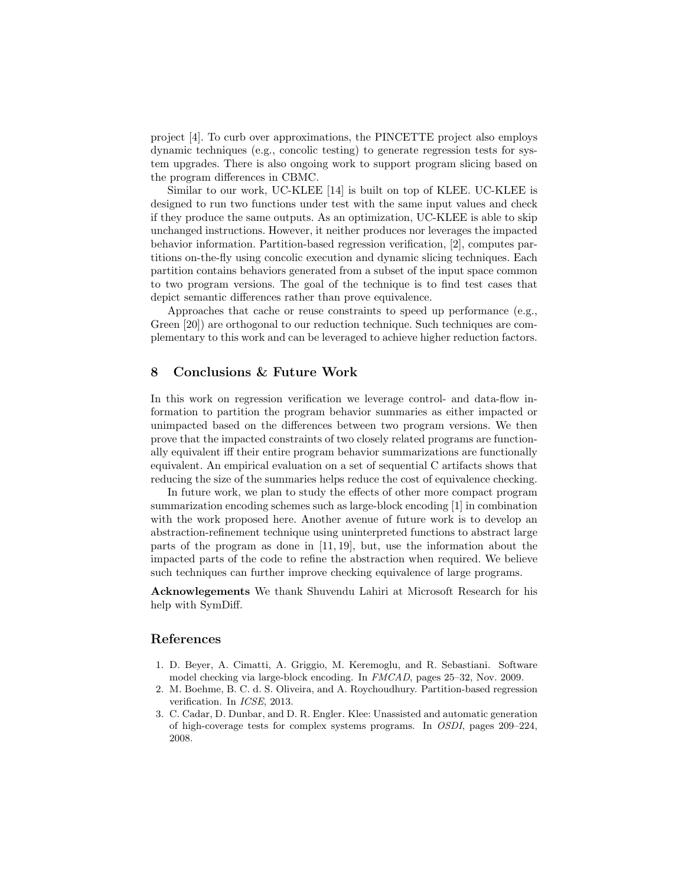project [4]. To curb over approximations, the PINCETTE project also employs dynamic techniques (e.g., concolic testing) to generate regression tests for system upgrades. There is also ongoing work to support program slicing based on the program differences in CBMC.

Similar to our work, UC-KLEE [14] is built on top of KLEE. UC-KLEE is designed to run two functions under test with the same input values and check if they produce the same outputs. As an optimization, UC-KLEE is able to skip unchanged instructions. However, it neither produces nor leverages the impacted behavior information. Partition-based regression verification, [2], computes partitions on-the-fly using concolic execution and dynamic slicing techniques. Each partition contains behaviors generated from a subset of the input space common to two program versions. The goal of the technique is to find test cases that depict semantic differences rather than prove equivalence.

Approaches that cache or reuse constraints to speed up performance (e.g., Green [20]) are orthogonal to our reduction technique. Such techniques are complementary to this work and can be leveraged to achieve higher reduction factors.

### 8 Conclusions & Future Work

In this work on regression verification we leverage control- and data-flow information to partition the program behavior summaries as either impacted or unimpacted based on the differences between two program versions. We then prove that the impacted constraints of two closely related programs are functionally equivalent iff their entire program behavior summarizations are functionally equivalent. An empirical evaluation on a set of sequential C artifacts shows that reducing the size of the summaries helps reduce the cost of equivalence checking.

In future work, we plan to study the effects of other more compact program summarization encoding schemes such as large-block encoding [1] in combination with the work proposed here. Another avenue of future work is to develop an abstraction-refinement technique using uninterpreted functions to abstract large parts of the program as done in [11, 19], but, use the information about the impacted parts of the code to refine the abstraction when required. We believe such techniques can further improve checking equivalence of large programs.

Acknowlegements We thank Shuvendu Lahiri at Microsoft Research for his help with SymDiff.

### References

- 1. D. Beyer, A. Cimatti, A. Griggio, M. Keremoglu, and R. Sebastiani. Software model checking via large-block encoding. In FMCAD, pages 25–32, Nov. 2009.
- 2. M. Boehme, B. C. d. S. Oliveira, and A. Roychoudhury. Partition-based regression verification. In ICSE, 2013.
- 3. C. Cadar, D. Dunbar, and D. R. Engler. Klee: Unassisted and automatic generation of high-coverage tests for complex systems programs. In OSDI, pages 209–224, 2008.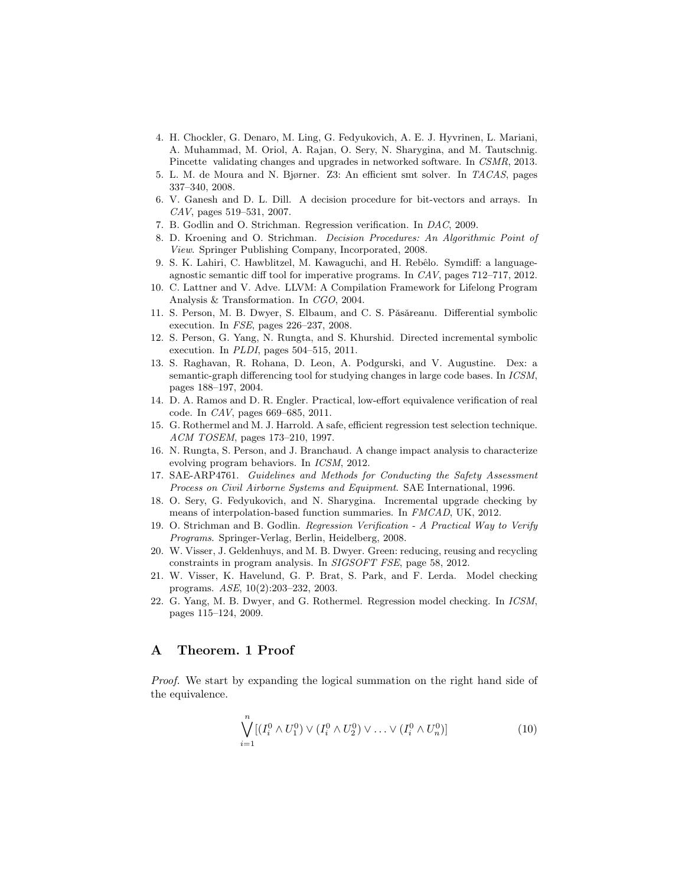- 4. H. Chockler, G. Denaro, M. Ling, G. Fedyukovich, A. E. J. Hyvrinen, L. Mariani, A. Muhammad, M. Oriol, A. Rajan, O. Sery, N. Sharygina, and M. Tautschnig. Pincette validating changes and upgrades in networked software. In CSMR, 2013.
- 5. L. M. de Moura and N. Bjørner. Z3: An efficient smt solver. In TACAS, pages 337–340, 2008.
- 6. V. Ganesh and D. L. Dill. A decision procedure for bit-vectors and arrays. In CAV, pages 519–531, 2007.
- 7. B. Godlin and O. Strichman. Regression verification. In DAC, 2009.
- 8. D. Kroening and O. Strichman. Decision Procedures: An Algorithmic Point of View. Springer Publishing Company, Incorporated, 2008.
- 9. S. K. Lahiri, C. Hawblitzel, M. Kawaguchi, and H. Rebêlo. Symdiff: a languageagnostic semantic diff tool for imperative programs. In CAV, pages 712–717, 2012.
- 10. C. Lattner and V. Adve. LLVM: A Compilation Framework for Lifelong Program Analysis & Transformation. In CGO, 2004.
- 11. S. Person, M. B. Dwyer, S. Elbaum, and C. S. Pǎsǎreanu. Differential symbolic execution. In FSE, pages 226–237, 2008.
- 12. S. Person, G. Yang, N. Rungta, and S. Khurshid. Directed incremental symbolic execution. In PLDI, pages 504–515, 2011.
- 13. S. Raghavan, R. Rohana, D. Leon, A. Podgurski, and V. Augustine. Dex: a semantic-graph differencing tool for studying changes in large code bases. In ICSM, pages 188–197, 2004.
- 14. D. A. Ramos and D. R. Engler. Practical, low-effort equivalence verification of real code. In CAV, pages 669–685, 2011.
- 15. G. Rothermel and M. J. Harrold. A safe, efficient regression test selection technique. ACM TOSEM, pages 173–210, 1997.
- 16. N. Rungta, S. Person, and J. Branchaud. A change impact analysis to characterize evolving program behaviors. In ICSM, 2012.
- 17. SAE-ARP4761. Guidelines and Methods for Conducting the Safety Assessment Process on Civil Airborne Systems and Equipment. SAE International, 1996.
- 18. O. Sery, G. Fedyukovich, and N. Sharygina. Incremental upgrade checking by means of interpolation-based function summaries. In FMCAD, UK, 2012.
- 19. O. Strichman and B. Godlin. Regression Verification A Practical Way to Verify Programs. Springer-Verlag, Berlin, Heidelberg, 2008.
- 20. W. Visser, J. Geldenhuys, and M. B. Dwyer. Green: reducing, reusing and recycling constraints in program analysis. In SIGSOFT FSE, page 58, 2012.
- 21. W. Visser, K. Havelund, G. P. Brat, S. Park, and F. Lerda. Model checking programs. ASE, 10(2):203–232, 2003.
- 22. G. Yang, M. B. Dwyer, and G. Rothermel. Regression model checking. In ICSM, pages 115–124, 2009.

### A Theorem. 1 Proof

Proof. We start by expanding the logical summation on the right hand side of the equivalence.

$$
\bigvee_{i=1}^{n} [(I_i^0 \wedge U_1^0) \vee (I_i^0 \wedge U_2^0) \vee \ldots \vee (I_i^0 \wedge U_n^0)] \tag{10}
$$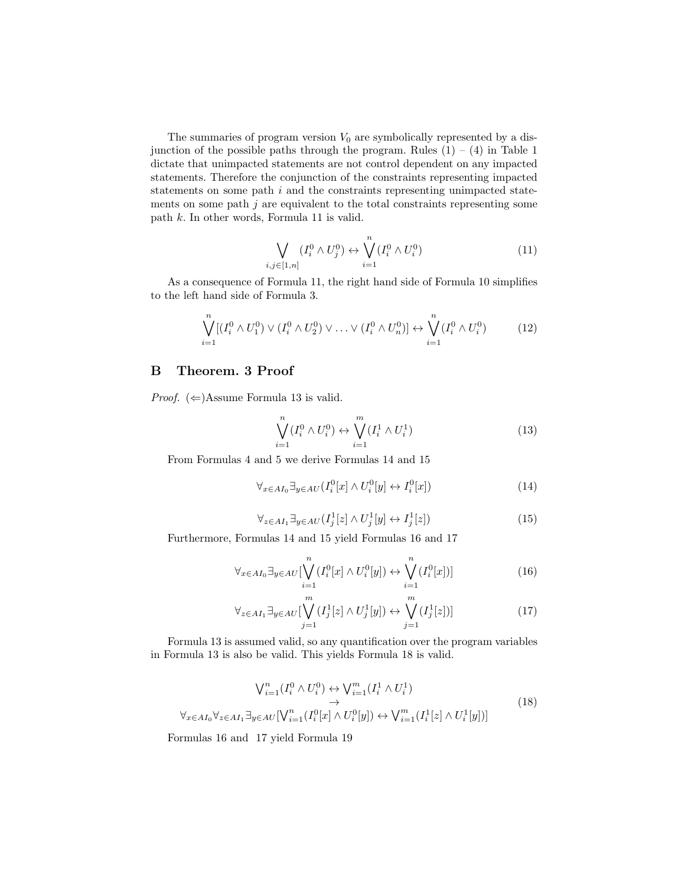The summaries of program version  $V_0$  are symbolically represented by a disjunction of the possible paths through the program. Rules  $(1) - (4)$  in Table 1 dictate that unimpacted statements are not control dependent on any impacted statements. Therefore the conjunction of the constraints representing impacted statements on some path  $i$  and the constraints representing unimpacted statements on some path  $j$  are equivalent to the total constraints representing some path k. In other words, Formula 11 is valid.

$$
\bigvee_{i,j\in[1,n]}(I_i^0 \wedge U_j^0) \leftrightarrow \bigvee_{i=1}^n(I_i^0 \wedge U_i^0)
$$
\n(11)

As a consequence of Formula 11, the right hand side of Formula 10 simplifies to the left hand side of Formula 3.

$$
\bigvee_{i=1}^{n} [(I_i^0 \wedge U_1^0) \vee (I_i^0 \wedge U_2^0) \vee \ldots \vee (I_i^0 \wedge U_n^0)] \leftrightarrow \bigvee_{i=1}^{n} (I_i^0 \wedge U_i^0)
$$
 (12)

## B Theorem. 3 Proof

*Proof.* ( $\Leftarrow$ )Assume Formula 13 is valid.

$$
\bigvee_{i=1}^{n} (I_i^0 \wedge U_i^0) \leftrightarrow \bigvee_{i=1}^{m} (I_i^1 \wedge U_i^1)
$$
\n(13)

From Formulas 4 and 5 we derive Formulas 14 and 15

$$
\forall_{x \in A I_0} \exists_{y \in AU} (I_i^0[x] \wedge U_i^0[y] \leftrightarrow I_i^0[x]) \tag{14}
$$

$$
\forall_{z \in AI_1} \exists_{y \in AU} (I_j^1[z] \wedge U_j^1[y] \leftrightarrow I_j^1[z]) \tag{15}
$$

Furthermore, Formulas 14 and 15 yield Formulas 16 and 17

$$
\forall_{x \in AI_0} \exists_{y \in AU} \left[ \bigvee_{i=1}^n (I_i^0[x] \wedge U_i^0[y]) \leftrightarrow \bigvee_{i=1}^n (I_i^0[x]) \right] \tag{16}
$$

$$
\forall_{z \in AI_1} \exists_{y \in AU} \left[ \bigvee_{j=1}^m (I_j^1[z] \wedge U_j^1[y]) \leftrightarrow \bigvee_{j=1}^m (I_j^1[z]) \right] \tag{17}
$$

Formula 13 is assumed valid, so any quantification over the program variables in Formula 13 is also be valid. This yields Formula 18 is valid.

$$
\bigvee_{i=1}^{n} (I_i^0 \wedge U_i^0) \leftrightarrow \bigvee_{i=1}^{m} (I_i^1 \wedge U_i^1)
$$
\n
$$
\rightarrow \bigvee_{x \in AI_0} \forall_{z \in AI_1} \exists_{y \in AU} [\bigvee_{i=1}^{n} (I_i^0[x] \wedge U_i^0[y]) \leftrightarrow \bigvee_{i=1}^{m} (I_i^1[z] \wedge U_i^1[y])]
$$
\n(18)

Formulas 16 and 17 yield Formula 19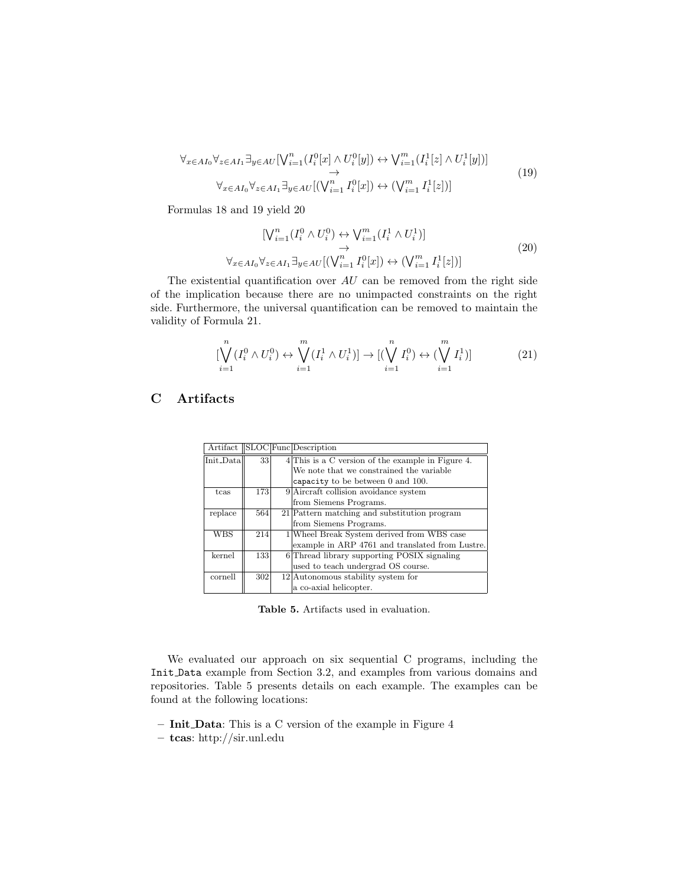$$
\forall_{x \in AI_0} \forall_{z \in AI_1} \exists_{y \in AU} [\bigvee_{i=1}^n (I_i^0[x] \wedge U_i^0[y]) \leftrightarrow \bigvee_{i=1}^m (I_i^1[z] \wedge U_i^1[y])]
$$
\n
$$
\forall_{x \in AI_0} \forall_{z \in AI_1} \exists_{y \in AU} [(\bigvee_{i=1}^n I_i^0[x]) \leftrightarrow (\bigvee_{i=1}^m I_i^1[z])]
$$
\n(19)

Formulas 18 and 19 yield 20

$$
[\mathsf{V}_{i=1}^{n}(I_{i}^{0} \wedge U_{i}^{0}) \leftrightarrow \mathsf{V}_{i=1}^{m}(I_{i}^{1} \wedge U_{i}^{1})] \rightarrow
$$
  
\n
$$
\forall_{x \in AI_{0}} \forall_{z \in AI_{1}} \exists_{y \in AU} [(\mathsf{V}_{i=1}^{n} I_{i}^{0}[x]) \leftrightarrow (\mathsf{V}_{i=1}^{m} I_{i}^{1}[z])]
$$
\n(20)

The existential quantification over  $AU$  can be removed from the right side of the implication because there are no unimpacted constraints on the right side. Furthermore, the universal quantification can be removed to maintain the validity of Formula 21.

$$
\left[\bigvee_{i=1}^{n} (I_i^0 \wedge U_i^0) \leftrightarrow \bigvee_{i=1}^{m} (I_i^1 \wedge U_i^1)\right] \to \left[\left(\bigvee_{i=1}^{n} I_i^0\right) \leftrightarrow \left(\bigvee_{i=1}^{m} I_i^1\right)\right]
$$
(21)

# C Artifacts

|           |     | Artifact   SLOC Func Description                  |
|-----------|-----|---------------------------------------------------|
| Init_Data | 33  | 4 This is a C version of the example in Figure 4. |
|           |     | We note that we constrained the variable          |
|           |     | capacity to be between $0$ and $100$ .            |
| tcas      | 173 | 9 Aircraft collision avoidance system             |
|           |     | from Siemens Programs.                            |
| replace   | 564 | 21 Pattern matching and substitution program      |
|           |     | from Siemens Programs.                            |
| WBS       | 214 | 1 Wheel Break System derived from WBS case        |
|           |     | example in ARP 4761 and translated from Lustre.   |
| kernel    | 133 | 6 Thread library supporting POSIX signaling       |
|           |     | used to teach undergrad OS course.                |
| cornell   | 302 | 12 Autonomous stability system for                |
|           |     | a co-axial helicopter.                            |

Table 5. Artifacts used in evaluation.

We evaluated our approach on six sequential C programs, including the Init Data example from Section 3.2, and examples from various domains and repositories. Table 5 presents details on each example. The examples can be found at the following locations:

- Init Data: This is a C version of the example in Figure 4
- tcas: http://sir.unl.edu